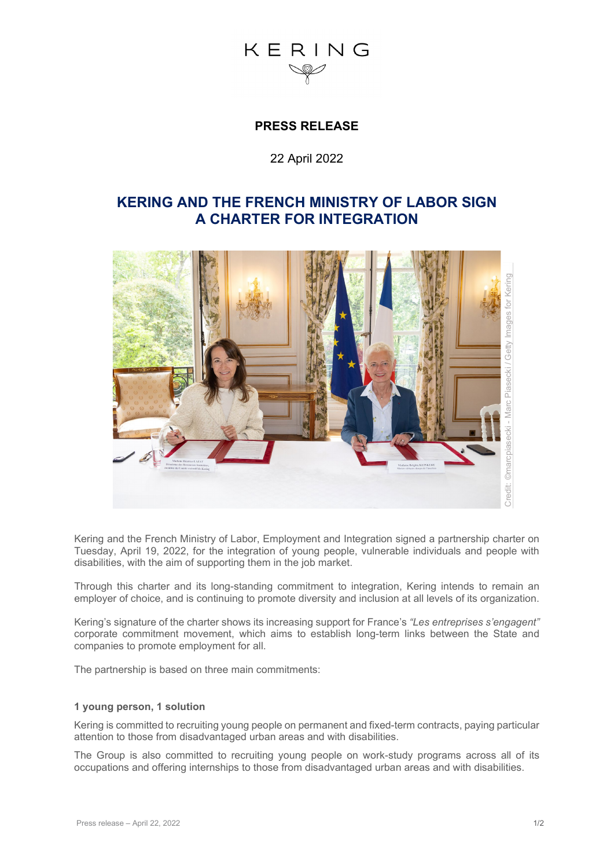## $K$  F R I N G

## **PRESS RELEASE**

### 22 April 2022

## **KERING AND THE FRENCH MINISTRY OF LABOR SIGN A CHARTER FOR INTEGRATION**



Kering and the French Ministry of Labor, Employment and Integration signed a partnership charter on Tuesday, April 19, 2022, for the integration of young people, vulnerable individuals and people with disabilities, with the aim of supporting them in the job market.

Through this charter and its long-standing commitment to integration, Kering intends to remain an employer of choice, and is continuing to promote diversity and inclusion at all levels of its organization.

Kering's signature of the charter shows its increasing support for France's *"Les entreprises s'engagent"* corporate commitment movement, which aims to establish long-term links between the State and companies to promote employment for all.

The partnership is based on three main commitments:

#### **1 young person, 1 solution**

Kering is committed to recruiting young people on permanent and fixed-term contracts, paying particular attention to those from disadvantaged urban areas and with disabilities.

The Group is also committed to recruiting young people on work-study programs across all of its occupations and offering internships to those from disadvantaged urban areas and with disabilities.